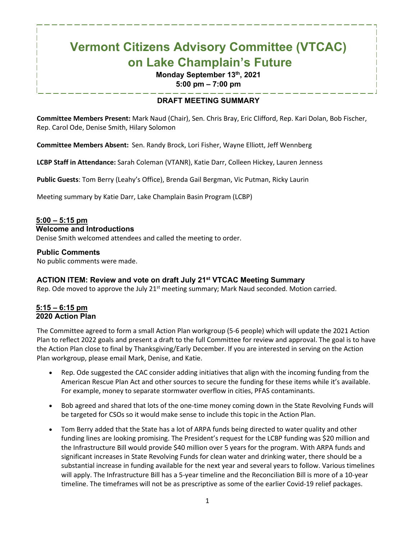# **Vermont Citizens Advisory Committee (VTCAC) on Lake Champlain's Future**

## **Monday September 13th, 2021**

**5:00 pm – 7:00 pm**

#### **DRAFT MEETING SUMMARY**

**Committee Members Present:** Mark Naud (Chair), Sen. Chris Bray, Eric Clifford, Rep. Kari Dolan, Bob Fischer, Rep. Carol Ode, Denise Smith, Hilary Solomon

**Committee Members Absent:** Sen. Randy Brock, Lori Fisher, Wayne Elliott, Jeff Wennberg

**LCBP Staff in Attendance:** Sarah Coleman (VTANR), Katie Darr, Colleen Hickey, Lauren Jenness

**Public Guests**: Tom Berry (Leahy's Office), Brenda Gail Bergman, Vic Putman, Ricky Laurin

Meeting summary by Katie Darr, Lake Champlain Basin Program (LCBP)

### **5:00 – 5:15 pm**

#### **Welcome and Introductions**

Denise Smith welcomed attendees and called the meeting to order.

#### **Public Comments**

No public comments were made.

#### **ACTION ITEM: Review and vote on draft July 21st VTCAC Meeting Summary**

Rep. Ode moved to approve the July  $21<sup>st</sup>$  meeting summary; Mark Naud seconded. Motion carried.

#### **5:15 – 6:15 pm 2020 Action Plan**

The Committee agreed to form a small Action Plan workgroup (5-6 people) which will update the 2021 Action Plan to reflect 2022 goals and present a draft to the full Committee for review and approval. The goal is to have the Action Plan close to final by Thanksgiving/Early December. If you are interested in serving on the Action Plan workgroup, please email Mark, Denise, and Katie.

- Rep. Ode suggested the CAC consider adding initiatives that align with the incoming funding from the American Rescue Plan Act and other sources to secure the funding for these items while it's available. For example, money to separate stormwater overflow in cities, PFAS contaminants.
- Bob agreed and shared that lots of the one-time money coming down in the State Revolving Funds will be targeted for CSOs so it would make sense to include this topic in the Action Plan.
- Tom Berry added that the State has a lot of ARPA funds being directed to water quality and other funding lines are looking promising. The President's request for the LCBP funding was \$20 million and the Infrastructure Bill would provide \$40 million over 5 years for the program. With ARPA funds and significant increases in State Revolving Funds for clean water and drinking water, there should be a substantial increase in funding available for the next year and several years to follow. Various timelines will apply. The Infrastructure Bill has a 5-year timeline and the Reconciliation Bill is more of a 10-year timeline. The timeframes will not be as prescriptive as some of the earlier Covid-19 relief packages.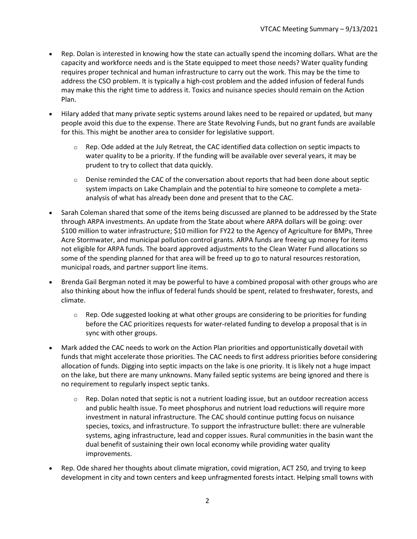- Rep. Dolan is interested in knowing how the state can actually spend the incoming dollars. What are the capacity and workforce needs and is the State equipped to meet those needs? Water quality funding requires proper technical and human infrastructure to carry out the work. This may be the time to address the CSO problem. It is typically a high-cost problem and the added infusion of federal funds may make this the right time to address it. Toxics and nuisance species should remain on the Action Plan.
- Hilary added that many private septic systems around lakes need to be repaired or updated, but many people avoid this due to the expense. There are State Revolving Funds, but no grant funds are available for this. This might be another area to consider for legislative support.
	- $\circ$  Rep. Ode added at the July Retreat, the CAC identified data collection on septic impacts to water quality to be a priority. If the funding will be available over several years, it may be prudent to try to collect that data quickly.
	- $\circ$  Denise reminded the CAC of the conversation about reports that had been done about septic system impacts on Lake Champlain and the potential to hire someone to complete a metaanalysis of what has already been done and present that to the CAC.
- Sarah Coleman shared that some of the items being discussed are planned to be addressed by the State through ARPA investments. An update from the State about where ARPA dollars will be going: over \$100 million to water infrastructure; \$10 million for FY22 to the Agency of Agriculture for BMPs, Three Acre Stormwater, and municipal pollution control grants. ARPA funds are freeing up money for items not eligible for ARPA funds. The board approved adjustments to the Clean Water Fund allocations so some of the spending planned for that area will be freed up to go to natural resources restoration, municipal roads, and partner support line items.
- Brenda Gail Bergman noted it may be powerful to have a combined proposal with other groups who are also thinking about how the influx of federal funds should be spent, related to freshwater, forests, and climate.
	- $\circ$  Rep. Ode suggested looking at what other groups are considering to be priorities for funding before the CAC prioritizes requests for water-related funding to develop a proposal that is in sync with other groups.
- Mark added the CAC needs to work on the Action Plan priorities and opportunistically dovetail with funds that might accelerate those priorities. The CAC needs to first address priorities before considering allocation of funds. Digging into septic impacts on the lake is one priority. It is likely not a huge impact on the lake, but there are many unknowns. Many failed septic systems are being ignored and there is no requirement to regularly inspect septic tanks.
	- $\circ$  Rep. Dolan noted that septic is not a nutrient loading issue, but an outdoor recreation access and public health issue. To meet phosphorus and nutrient load reductions will require more investment in natural infrastructure. The CAC should continue putting focus on nuisance species, toxics, and infrastructure. To support the infrastructure bullet: there are vulnerable systems, aging infrastructure, lead and copper issues. Rural communities in the basin want the dual benefit of sustaining their own local economy while providing water quality improvements.
- Rep. Ode shared her thoughts about climate migration, covid migration, ACT 250, and trying to keep development in city and town centers and keep unfragmented forests intact. Helping small towns with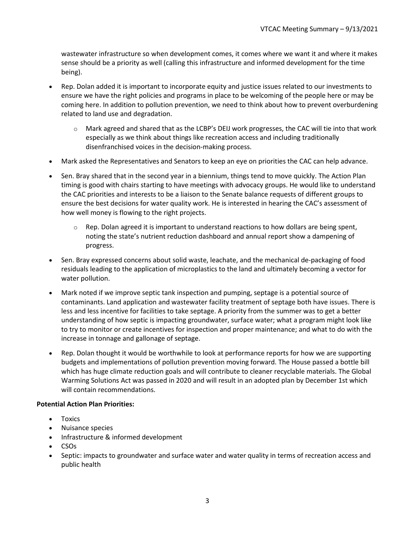wastewater infrastructure so when development comes, it comes where we want it and where it makes sense should be a priority as well (calling this infrastructure and informed development for the time being).

- Rep. Dolan added it is important to incorporate equity and justice issues related to our investments to ensure we have the right policies and programs in place to be welcoming of the people here or may be coming here. In addition to pollution prevention, we need to think about how to prevent overburdening related to land use and degradation.
	- $\circ$  Mark agreed and shared that as the LCBP's DEIJ work progresses, the CAC will tie into that work especially as we think about things like recreation access and including traditionally disenfranchised voices in the decision-making process.
- Mark asked the Representatives and Senators to keep an eye on priorities the CAC can help advance.
- Sen. Bray shared that in the second year in a biennium, things tend to move quickly. The Action Plan timing is good with chairs starting to have meetings with advocacy groups. He would like to understand the CAC priorities and interests to be a liaison to the Senate balance requests of different groups to ensure the best decisions for water quality work. He is interested in hearing the CAC's assessment of how well money is flowing to the right projects.
	- $\circ$  Rep. Dolan agreed it is important to understand reactions to how dollars are being spent, noting the state's nutrient reduction dashboard and annual report show a dampening of progress.
- Sen. Bray expressed concerns about solid waste, leachate, and the mechanical de-packaging of food residuals leading to the application of microplastics to the land and ultimately becoming a vector for water pollution.
- Mark noted if we improve septic tank inspection and pumping, septage is a potential source of contaminants. Land application and wastewater facility treatment of septage both have issues. There is less and less incentive for facilities to take septage. A priority from the summer was to get a better understanding of how septic is impacting groundwater, surface water; what a program might look like to try to monitor or create incentives for inspection and proper maintenance; and what to do with the increase in tonnage and gallonage of septage.
- Rep. Dolan thought it would be worthwhile to look at performance reports for how we are supporting budgets and implementations of pollution prevention moving forward. The House passed a bottle bill which has huge climate reduction goals and will contribute to cleaner recyclable materials. The Global Warming Solutions Act was passed in 2020 and will result in an adopted plan by December 1st which will contain recommendations.

#### **Potential Action Plan Priorities:**

- Toxics
- Nuisance species
- Infrastructure & informed development
- CSOs
- Septic: impacts to groundwater and surface water and water quality in terms of recreation access and public health